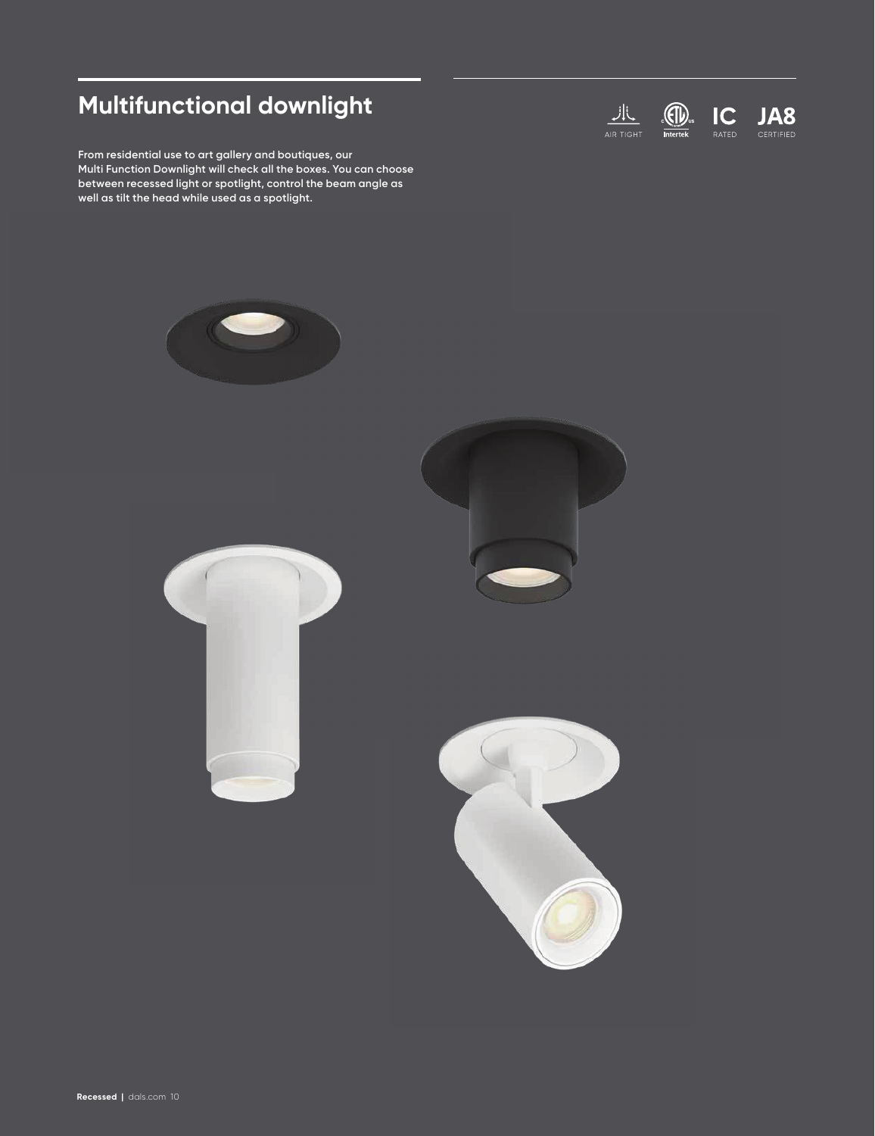# **Multifunctional downlight**

**From residential use to art gallery and boutiques, our Multi Function Downlight will check all the boxes. You can choose between recessed light or spotlight, control the beam angle as well as tilt the head while used as a spotlight.**